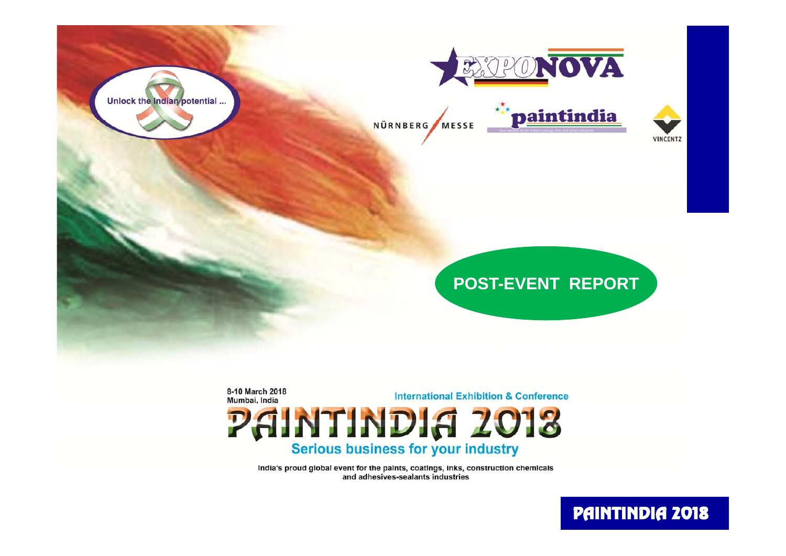



NÜRNBERG MESSE





### **POST-EVENT REPORT EVENT**

8-10 March 2018 **International Exhibition & Conference** Mumbai, India

PAINTINDIA 2013 Serious business for your industry

India's proud global event for the paints, coatings, inks, construction chemicals and adhesives-sealants industries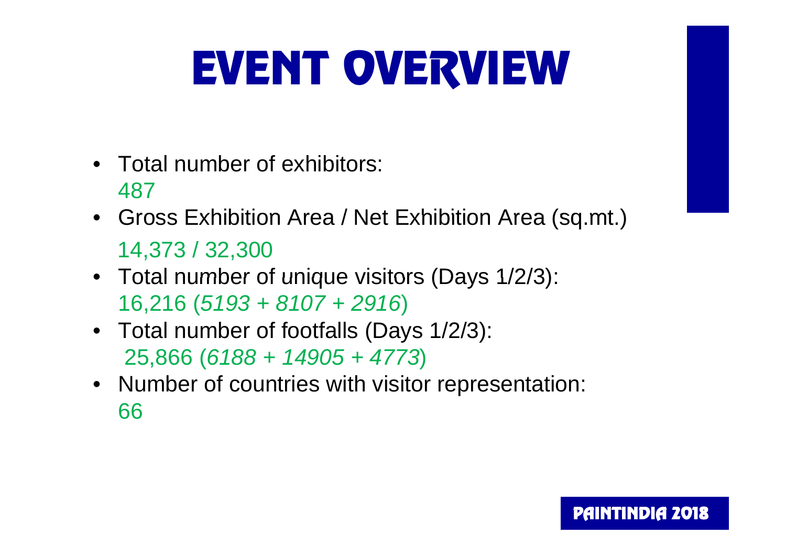# EVENT OVE RVIEW

- Total number of exhibitors: 487
- Gross Exhibition Area / Net Exhibition Area (sq.mt.) 14,373 / 32,300
- Total number of unique visitors (Days 1/2/3): 16,216 (*5193 + 8107 + 2916*)
- Total number of footfalls (Days 1/2/3): 25,866 (*6188 + 14905 + 4773*)
- Number of countries with visitor representation: 66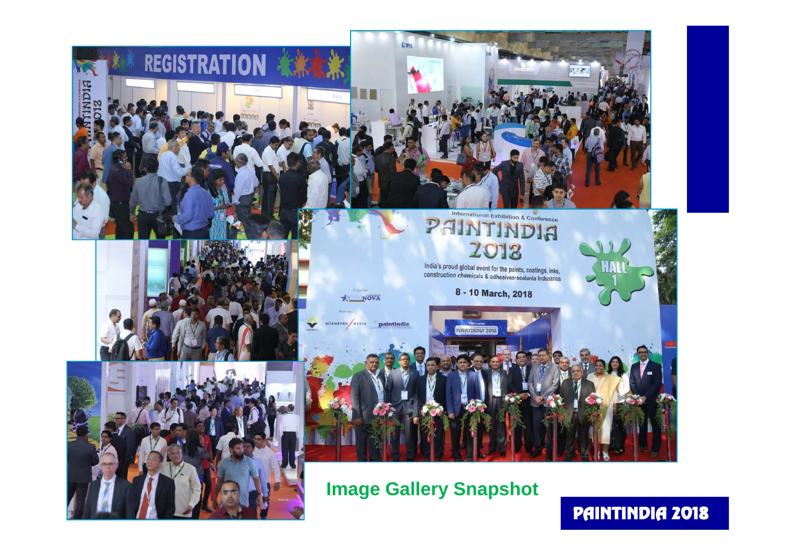

**REGISTRATION** 



### International Exhibition & Conference PAINTINDIA

India's proud global event for the paints, coatings, inks, make b produ global event for the paints, coatings, inks,<br>construction chemicals & adhesives-sealants industries

SIOS RIGNITHIR

#### 8 - 10 March, 2018

**Image Gallery Snapshot**

NOVA

NURNBERG MESSE paintindia

### PAINTINDIA 2018

**HAL**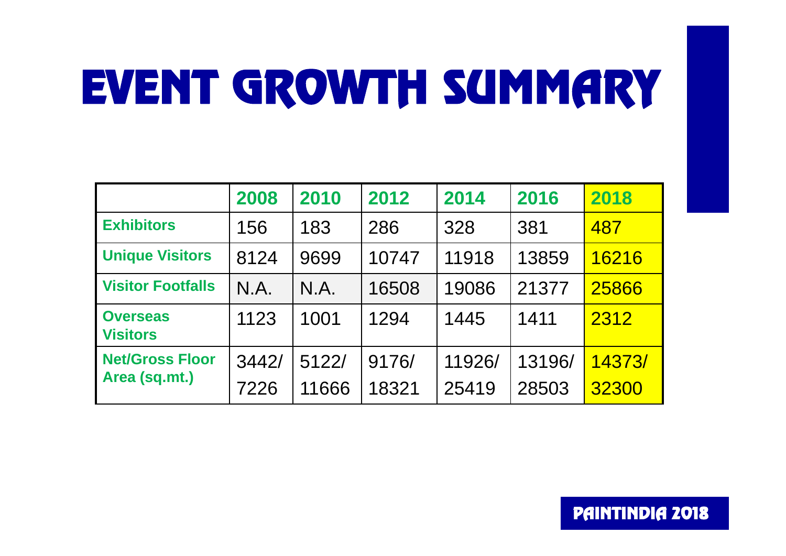# EVENT GROWTH SUMMARY

|                                         | 2008  | 2010  | 2012  | 2014   | 2016   | 2018   |
|-----------------------------------------|-------|-------|-------|--------|--------|--------|
| <b>Exhibitors</b>                       | 156   | 183   | 286   | 328    | 381    | 487    |
| <b>Unique Visitors</b>                  | 8124  | 9699  | 10747 | 11918  | 13859  | 16216  |
| <b>Visitor Footfalls</b>                | N.A.  | N.A.  | 16508 | 19086  | 21377  | 25866  |
| <b>Overseas</b><br><b>Visitors</b>      | 1123  | 1001  | 1294  | 1445   | 1411   | 2312   |
| <b>Net/Gross Floor</b><br>Area (sq.mt.) | 3442/ | 5122/ | 9176/ | 11926/ | 13196/ | 14373/ |
|                                         | 7226  | 11666 | 18321 | 25419  | 28503  | 32300  |

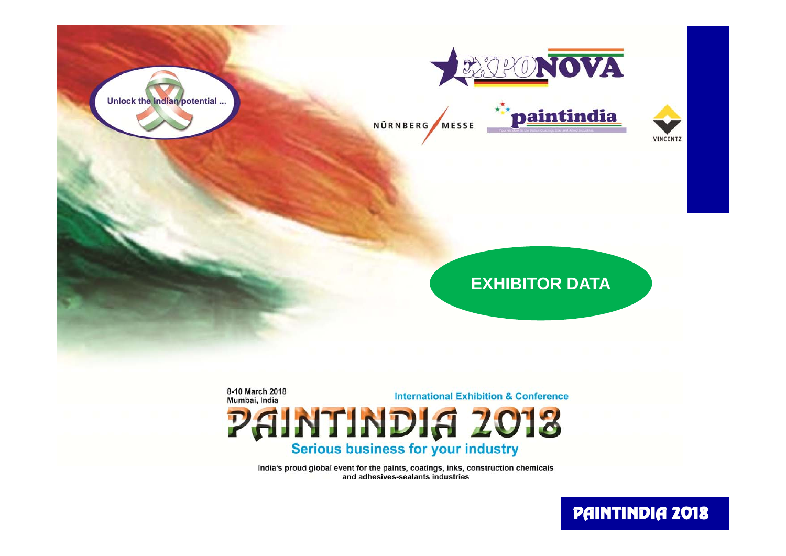



NÜRNBERG MESSE





### **EXHIBITOR DATA**

8-10 March 2018 **International Exhibition & Conference** Mumbai, India PAINTINDIA 2013

Serious business for your industry

India's proud global event for the paints, coatings, inks, construction chemicals and adhesives-sealants industries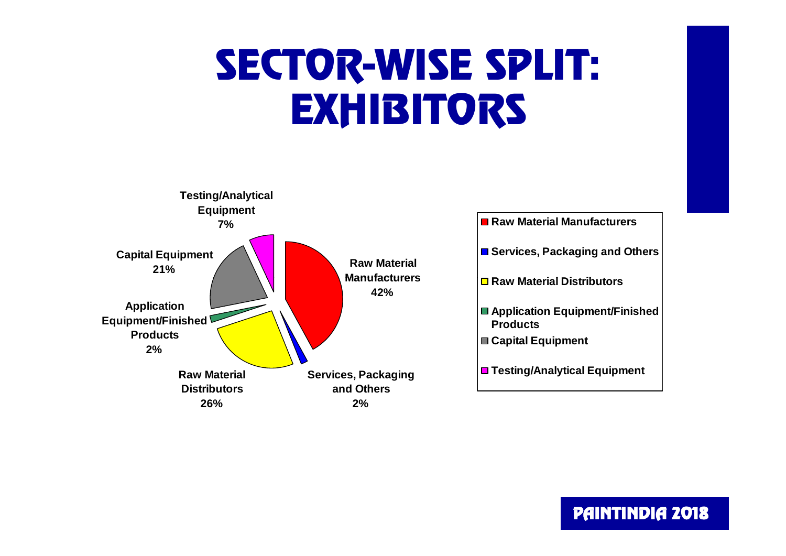## SECTOR-WISE SPLIT: **EXHIBITORS**

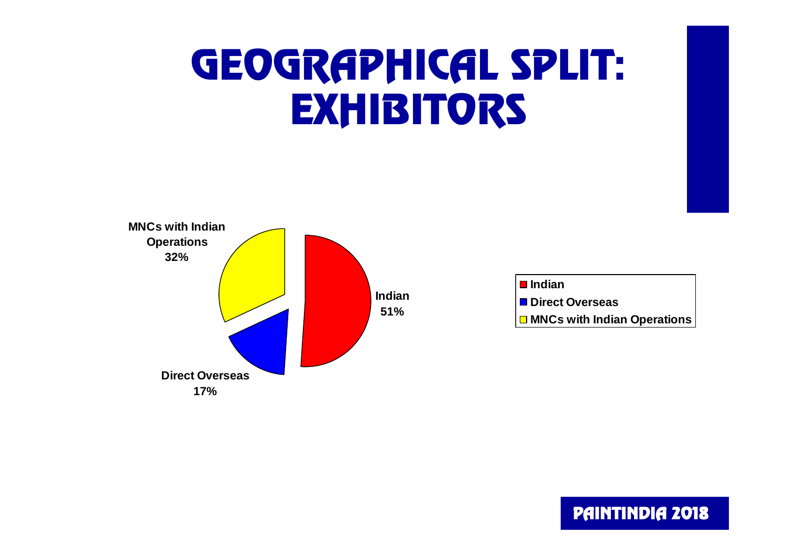## GEOGRAPHICAL SPLIT: **EXHIBITORS**



| <b>■</b> Indian                    |
|------------------------------------|
| <b>■ Direct Overseas</b>           |
| $\Box$ MNCs with Indian Operations |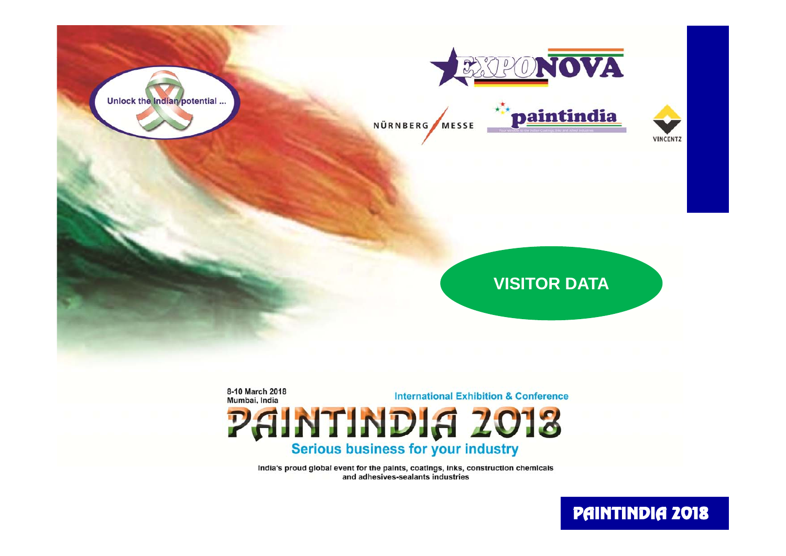



NÜRNBERG MESSE





### **VISITOR DATA**

8-10 March 2018 **International Exhibition & Conference** Mumbai, India PAINTINDIA 2013

Serious business for your industry

India's proud global event for the paints, coatings, inks, construction chemicals and adhesives-sealants industries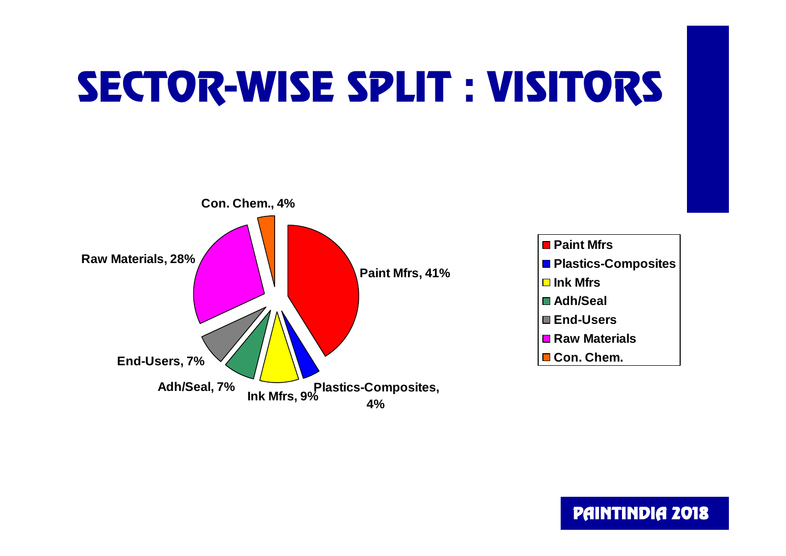## SECTOR-WISE SPLIT : VISITORS

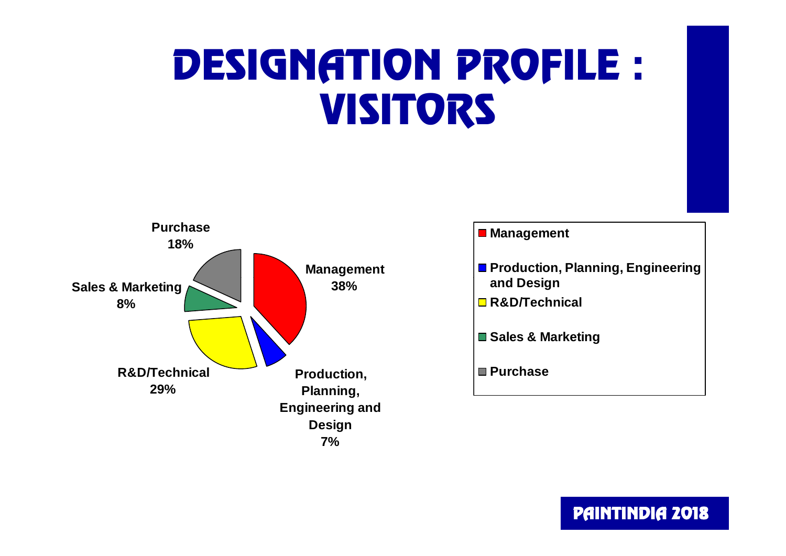### DESIGNATION PROFILE : VISITORS



#### **Management**

- **Production, Planning, Engineering and Design**
- **R&D/Technical**
- **Sales & Marketing**

#### **Purchase**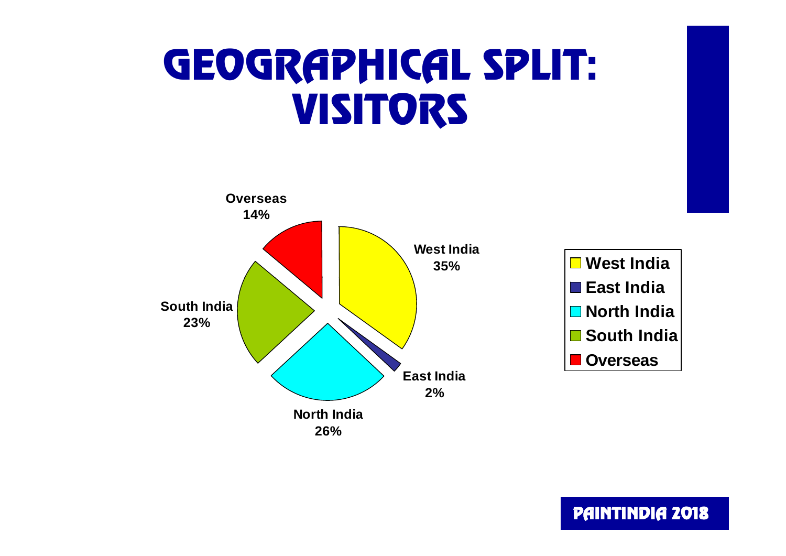### GEOGRAPHICAL SPLIT: VISITORS



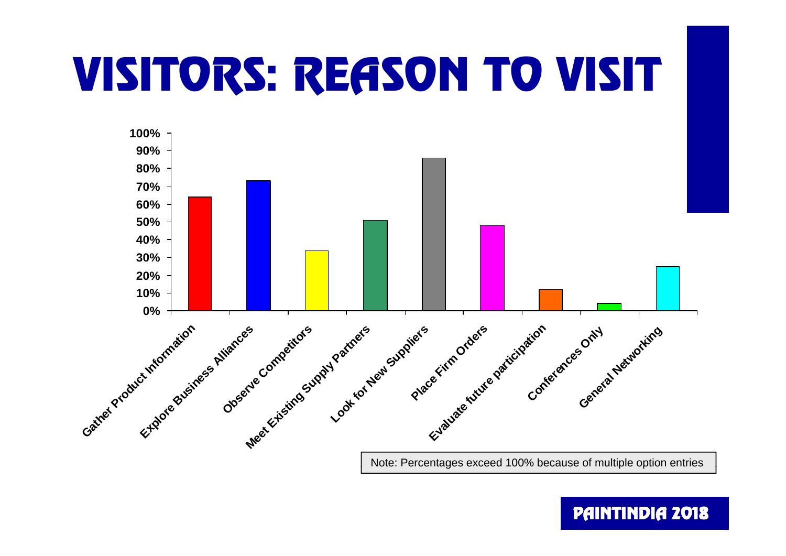# **VISITORS: REASON TO VISIT**



Note: Percentages exceed 100% because of multiple option entries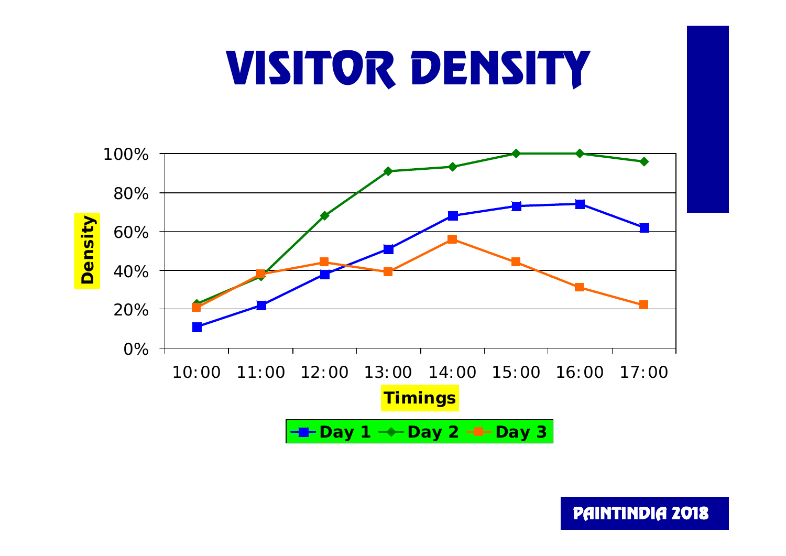# VISITOR DENSITY